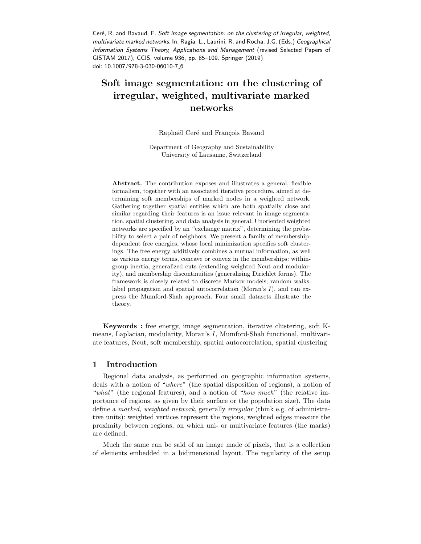Ceré, R. and Bavaud, F. Soft image segmentation: on the clustering of irregular, weighted, multivariate marked networks. In: Ragia, L., Laurini, R. and Rocha, J.G. (Eds.) Geographical Information Systems Theory, Applications and Management (revised Selected Papers of GISTAM 2017), CCIS, volume 936, pp. 85–109. Springer (2019) doi: 10.1007/978-3-030-06010-7\_6

# Soft image segmentation: on the clustering of irregular, weighted, multivariate marked networks

Raphaël Ceré and François Bavaud

Department of Geography and Sustainability University of Lausanne, Switzerland

Abstract. The contribution exposes and illustrates a general, flexible formalism, together with an associated iterative procedure, aimed at determining soft memberships of marked nodes in a weighted network. Gathering together spatial entities which are both spatially close and similar regarding their features is an issue relevant in image segmentation, spatial clustering, and data analysis in general. Unoriented weighted networks are specified by an "exchange matrix", determining the probability to select a pair of neighbors. We present a family of membershipdependent free energies, whose local minimization specifies soft clusterings. The free energy additively combines a mutual information, as well as various energy terms, concave or convex in the memberships: withingroup inertia, generalized cuts (extending weighted Ncut and modularity), and membership discontinuities (generalizing Dirichlet forms). The framework is closely related to discrete Markov models, random walks, label propagation and spatial autocorrelation (Moran's  $I$ ), and can express the Mumford-Shah approach. Four small datasets illustrate the theory.

Keywords : free energy, image segmentation, iterative clustering, soft Kmeans, Laplacian, modularity, Moran's I, Mumford-Shah functional, multivariate features, Ncut, soft membership, spatial autocorrelation, spatial clustering

## 1 Introduction

Regional data analysis, as performed on geographic information systems, deals with a notion of "where" (the spatial disposition of regions), a notion of "what" (the regional features), and a notion of "how much" (the relative importance of regions, as given by their surface or the population size). The data define a marked, weighted network, generally irregular (think e.g. of administrative units): weighted vertices represent the regions, weighted edges measure the proximity between regions, on which uni- or multivariate features (the marks) are defined.

Much the same can be said of an image made of pixels, that is a collection of elements embedded in a bidimensional layout. The regularity of the setup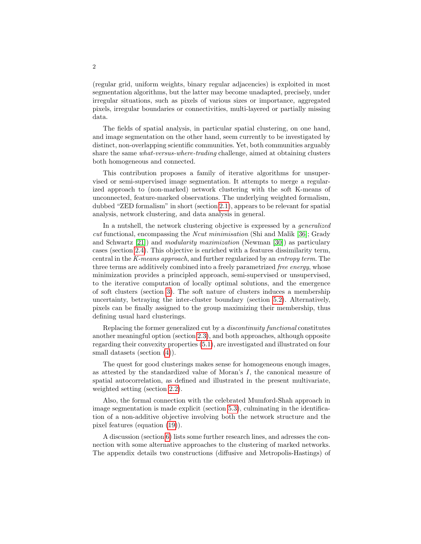(regular grid, uniform weights, binary regular adjacencies) is exploited in most segmentation algorithms, but the latter may become unadapted, precisely, under irregular situations, such as pixels of various sizes or importance, aggregated pixels, irregular boundaries or connectivities, multi-layered or partially missing data.

The fields of spatial analysis, in particular spatial clustering, on one hand, and image segmentation on the other hand, seem currently to be investigated by distinct, non-overlapping scientific communities. Yet, both communities arguably share the same what-versus-where-trading challenge, aimed at obtaining clusters both homogeneous and connected.

This contribution proposes a family of iterative algorithms for unsupervised or semi-supervised image segmentation. It attempts to merge a regularized approach to (non-marked) network clustering with the soft K-means of unconnected, feature-marked observations. The underlying weighted formalism, dubbed "ZED formalism" in short (section [2.1\)](#page-2-0), appears to be relevant for spatial analysis, network clustering, and data analysis in general.

In a nutshell, the network clustering objective is expressed by a generalized cut functional, encompassing the Ncut minimisation (Shi and Malik [\[36\]](#page-21-0); Grady and Schwartz [\[21\]](#page-21-1)) and modularity maximization (Newman [\[30\]](#page-21-2)) as particulary cases (section [2.4\)](#page-5-0). This objective is enriched with a features dissimilarity term, central in the K-means approach, and further regularized by an entropy term. The three terms are additively combined into a freely parametrized *free energy*, whose minimization provides a principled approach, semi-supervised or unsupervised, to the iterative computation of locally optimal solutions, and the emergence of soft clusters (section [3\)](#page-6-0). The soft nature of clusters induces a membership uncertainty, betraying the inter-cluster boundary (section [5.2\)](#page-15-0). Alternatively, pixels can be finally assigned to the group maximizing their membership, thus defining usual hard clusterings.

Replacing the former generalized cut by a discontinuity functional constitutes another meaningful option (section [2.3\)](#page-4-0), and both approaches, although opposite regarding their convexity properties [\(5.1\)](#page-14-0), are investigated and illustrated on four small datasets (section  $(4)$ ).

The quest for good clusterings makes sense for homogeneous enough images, as attested by the standardized value of Moran's I, the canonical measure of spatial autocorrelation, as defined and illustrated in the present multivariate, weighted setting (section [2.2\)](#page-3-0).

Also, the formal connection with the celebrated Mumford-Shah approach in image segmentation is made explicit (section [5.3\)](#page-16-0), culminating in the identification of a non-additive objective involving both the network structure and the pixel features (equation [\(19\)](#page-17-0)).

A discussion (section [6\)](#page-18-0) lists some further research lines, and adresses the connection with some alternative approaches to the clustering of marked networks. The appendix details two constructions (diffusive and Metropolis-Hastings) of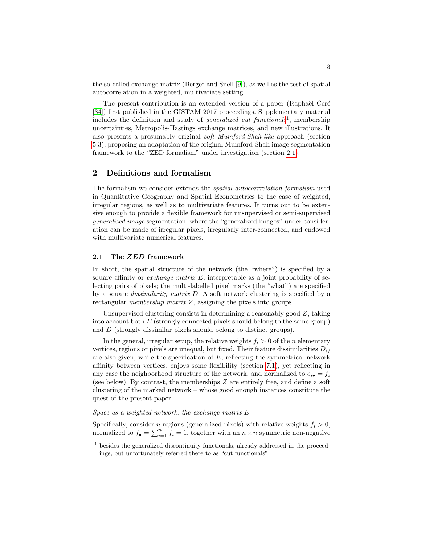the so-called exchange matrix (Berger and Snell [\[9\]](#page-20-0)), as well as the test of spatial autocorrelation in a weighted, multivariate setting.

The present contribution is an extended version of a paper (Raphaël Ceré [\[34\]](#page-21-3)) first published in the GISTAM 2017 proceedings. Supplementary material includes the definition and study of *generalized cut functionals*<sup>[1](#page-2-1)</sup>, membership uncertainties, Metropolis-Hastings exchange matrices, and new illustrations. It also presents a presumably original soft Mumford-Shah-like approach (section [5.3\)](#page-16-0), proposing an adaptation of the original Mumford-Shah image segmentation framework to the "ZED formalism" under investigation (section [2.1\)](#page-2-0).

## 2 Definitions and formalism

The formalism we consider extends the spatial autocorrrelation formalism used in Quantitative Geography and Spatial Econometrics to the case of weighted, irregular regions, as well as to multivariate features. It turns out to be extensive enough to provide a flexible framework for unsupervised or semi-supervised generalized image segmentation, where the "generalized images" under consideration can be made of irregular pixels, irregularly inter-connected, and endowed with multivariate numerical features.

## <span id="page-2-0"></span>2.1 The ZED framework

In short, the spatial structure of the network (the "where") is specified by a square affinity or *exchange matrix E*, interpretable as a joint probability of selecting pairs of pixels; the multi-labelled pixel marks (the "what") are specified by a square dissimilarity matrix D. A soft network clustering is specified by a rectangular membership matrix Z, assigning the pixels into groups.

Unsupervised clustering consists in determining a reasonably good Z, taking into account both  $E$  (strongly connected pixels should belong to the same group) and D (strongly dissimilar pixels should belong to distinct groups).

In the general, irregular setup, the relative weights  $f_i > 0$  of the n elementary vertices, regions or pixels are unequal, but fixed. Their feature dissimilarities  $D_{ij}$ are also given, while the specification of  $E$ , reflecting the symmetrical network affinity between vertices, enjoys some flexibility (section [7.1\)](#page-22-0), yet reflecting in any case the neighborhood structure of the network, and normalized to  $e_{i\bullet} = f_i$ (see below). By contrast, the memberships Z are entirely free, and define a soft clustering of the marked network – whose good enough instances constitute the quest of the present paper.

## Space as a weighted network: the exchange matrix E

Specifically, consider *n* regions (generalized pixels) with relative weights  $f_i > 0$ , normalized to  $f_{\bullet} = \sum_{i=1}^{n} f_i = 1$ , together with an  $n \times n$  symmetric non-negative

<span id="page-2-1"></span> $1$  besides the generalized discontinuity functionals, already addressed in the proceedings, but unfortunately referred there to as "cut functionals"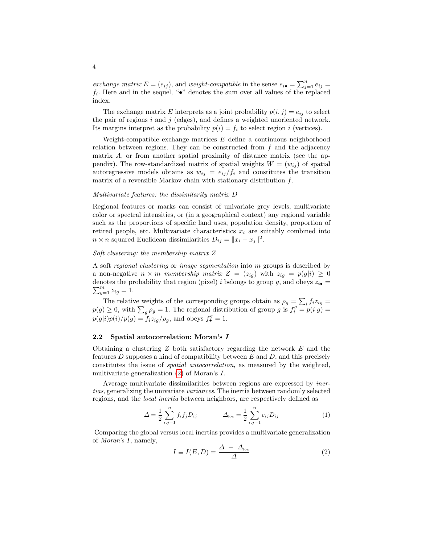exchange matrix  $E = (e_{ij})$ , and weight-compatible in the sense  $e_{i\bullet} = \sum_{j=1}^{n} e_{ij}$  $f_i$ . Here and in the sequel, " $\bullet$ " denotes the sum over all values of the replaced index.

The exchange matrix E interprets as a joint probability  $p(i, j) = e_{ij}$  to select the pair of regions  $i$  and  $j$  (edges), and defines a weighted unoriented network. Its margins interpret as the probability  $p(i) = f_i$  to select region i (vertices).

Weight-compatible exchange matrices  $E$  define a continuous neighborhood relation between regions. They can be constructed from  $f$  and the adjacency matrix  $A$ , or from another spatial proximity of distance matrix (see the appendix). The row-standardized matrix of spatial weights  $W = (w_{ij})$  of spatial autoregressive models obtains as  $w_{ij} = e_{ij}/f_i$  and constitutes the transition matrix of a reversible Markov chain with stationary distribution f.

#### Multivariate features: the dissimilarity matrix D

Regional features or marks can consist of univariate grey levels, multivariate color or spectral intensities, or (in a geographical context) any regional variable such as the proportions of specific land uses, population density, proportion of retired people, etc. Multivariate characteristics  $x_i$  are suitably combined into  $n \times n$  squared Euclidean dissimilarities  $D_{ij} = ||x_i - x_j||^2$ .

## Soft clustering: the membership matrix Z

A soft regional clustering or image segmentation into m groups is described by a non-negative  $n \times m$  membership matrix  $Z = (z_{ig})$  with  $z_{ig} = p(g|i) \geq 0$  $\sum_{g=1}^{m} z_{ig} = 1.$ denotes the probability that region (pixel) i belongs to group g, and obeys  $z_{i\bullet}$  =

The relative weights of the corresponding groups obtain as  $\rho_g = \sum_i f_i z_{ig} =$  $p(g) \geq 0$ , with  $\sum_g \rho_g = 1$ . The regional distribution of group g is  $f_i^g = p(i|g)$  $p(g|i)p(i)/p(g) = f_iz_{ig}/\rho_g$ , and obeys  $f_{\bullet}^g = 1$ .

#### <span id="page-3-0"></span>2.2 Spatial autocorrelation: Moran's I

Obtaining a clustering  $Z$  both satisfactory regarding the network  $E$  and the features D supposes a kind of compatibility between  $E$  and  $D$ , and this precisely constitutes the issue of spatial autocorrelation, as measured by the weighted, multivariate generalization [\(2\)](#page-3-1) of Moran's I.

Average multivariate dissimilarities between regions are expressed by inertias, generalizing the univariate variances. The inertia between randomly selected regions, and the local inertia between neighbors, are respectively defined as

$$
\Delta = \frac{1}{2} \sum_{i,j=1}^{n} f_i f_j D_{ij} \qquad \Delta_{\text{loc}} = \frac{1}{2} \sum_{i,j=1}^{n} e_{ij} D_{ij} \qquad (1)
$$

Comparing the global versus local inertias provides a multivariate generalization of Moran's I, namely,

<span id="page-3-1"></span>
$$
I \equiv I(E, D) = \frac{\Delta - \Delta_{\text{loc}}}{\Delta} \tag{2}
$$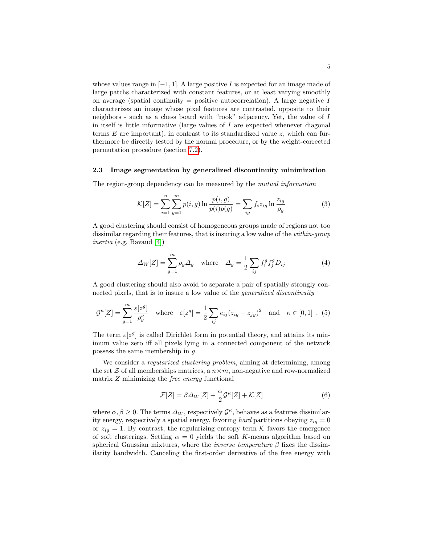whose values range in  $[-1, 1]$ . A large positive I is expected for an image made of large patchs characterized with constant features, or at least varying smoothly on average (spatial continuity = positive autocorrelation). A large negative  $I$ characterizes an image whose pixel features are contrasted, opposite to their neighbors - such as a chess board with "rook" adjacency. Yet, the value of I in itself is little informative (large values of  $I$  are expected whenever diagonal terms  $E$  are important), in contrast to its standardized value z, which can furthermore be directly tested by the normal procedure, or by the weight-corrected permutation procedure (section [7.2\)](#page-23-0).

#### <span id="page-4-0"></span>2.3 Image segmentation by generalized discontinuity minimization

The region-group dependency can be measured by the mutual information

$$
\mathcal{K}[Z] = \sum_{i=1}^{n} \sum_{g=1}^{m} p(i, g) \ln \frac{p(i, g)}{p(i)p(g)} = \sum_{ig} f_i z_{ig} \ln \frac{z_{ig}}{\rho_g}
$$
(3)

A good clustering should consist of homogeneous groups made of regions not too dissimilar regarding their features, that is insuring a low value of the within-group inertia (e.g. Bavaud [\[4\]](#page-20-1))

$$
\Delta_W[Z] = \sum_{g=1}^m \rho_g \Delta_g \quad \text{where} \quad \Delta_g = \frac{1}{2} \sum_{ij} f_i^g f_j^g D_{ij} \tag{4}
$$

A good clustering should also avoid to separate a pair of spatially strongly connected pixels, that is to insure a low value of the generalized discontinuity

<span id="page-4-1"></span>
$$
\mathcal{G}^{\kappa}[Z] = \sum_{g=1}^{m} \frac{\varepsilon[z^g]}{\rho_g^{\kappa}} \quad \text{where} \quad \varepsilon[z^g] = \frac{1}{2} \sum_{ij} e_{ij} (z_{ig} - z_{jg})^2 \quad \text{and} \quad \kappa \in [0, 1] \quad . \tag{5}
$$

The term  $\varepsilon[z^g]$  is called Dirichlet form in potential theory, and attains its minimum value zero iff all pixels lying in a connected component of the network possess the same membership in g.

We consider a *regularized clustering problem*, aiming at determining, among the set  $\mathcal Z$  of all memberships matrices, a  $n \times m$ , non-negative and row-normalized matrix  $Z$  minimizing the *free energy* functional

<span id="page-4-2"></span>
$$
\mathcal{F}[Z] = \beta \Delta_W[Z] + \frac{\alpha}{2} \mathcal{G}^{\kappa}[Z] + \mathcal{K}[Z] \tag{6}
$$

where  $\alpha, \beta \geq 0$ . The terms  $\Delta_W$ , respectively  $\mathcal{G}^{\kappa}$ , behaves as a features dissimilarity energy, respectively a spatial energy, favoring hard partitions obeying  $z_{iq} = 0$ or  $z_{ig} = 1$ . By contrast, the regularizing entropy term K favors the emergence of soft clusterings. Setting  $\alpha = 0$  yields the soft K-means algorithm based on spherical Gaussian mixtures, where the *inverse temperature*  $\beta$  fixes the dissimilarity bandwidth. Canceling the first-order derivative of the free energy with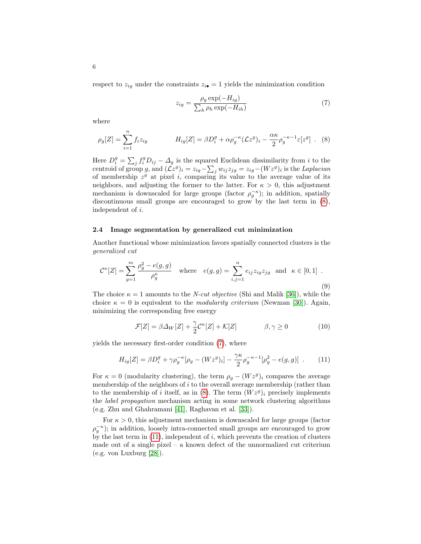respect to  $z_{ig}$  under the constraints  $z_{i\bullet} = 1$  yields the minimization condition

<span id="page-5-2"></span>
$$
z_{ig} = \frac{\rho_g \exp(-H_{ig})}{\sum_h \rho_h \exp(-H_{ih})}
$$
(7)

where

<span id="page-5-1"></span>
$$
\rho_g[Z] = \sum_{i=1}^n f_i z_{ig} \qquad H_{ig}[Z] = \beta D_i^g + \alpha \rho_g^{-\kappa} (\mathcal{L}z^g)_i - \frac{\alpha \kappa}{2} \rho_g^{-\kappa - 1} \varepsilon [z^g] \ . \tag{8}
$$

Here  $D_i^g = \sum_j f_i^g D_{ij} - \Delta_g$  is the squared Euclidean dissimilarity from i to the centroid of group g, and  $(\mathcal{L}z^g)_i = z_{ig} - \sum_j w_{ij} z_{jg} = z_{ig} - (Wz^g)_i$  is the Laplacian of membership  $z^g$  at pixel i, comparing its value to the average value of its neighbors, and adjusting the former to the latter. For  $\kappa > 0$ , this adjustment mechanism is downscaled for large groups (factor  $\rho_g^{-\kappa}$ ); in addition, spatially discontinuous small groups are encouraged to grow by the last term in [\(8\)](#page-5-1), independent of i.

#### <span id="page-5-0"></span>2.4 Image segmentation by generalized cut minimization

Another functional whose minimization favors spatially connected clusters is the generalized cut

<span id="page-5-4"></span>
$$
\mathcal{C}^{\kappa}[Z] = \sum_{g=1}^{m} \frac{\rho_g^2 - e(g,g)}{\rho_g^{\kappa}} \quad \text{where} \quad e(g,g) = \sum_{i,j=1}^{n} e_{ij} z_{ig} z_{jg} \quad \text{and} \quad \kappa \in [0,1] \tag{9}
$$

The choice  $\kappa = 1$  amounts to the *N-cut objective* (Shi and Malik [\[36\]](#page-21-0)), while the choice  $\kappa = 0$  is equivalent to the *modularity criterium* (Newman [\[30\]](#page-21-2)). Again, minimizing the corresponding free energy

<span id="page-5-5"></span>
$$
\mathcal{F}[Z] = \beta \Delta_W[Z] + \frac{\gamma}{2} \mathcal{C}^\kappa[Z] + \mathcal{K}[Z] \qquad \beta, \gamma \ge 0 \tag{10}
$$

yields the necessary first-order condition [\(7\)](#page-5-2), where

<span id="page-5-3"></span>
$$
H_{ig}[Z] = \beta D_i^g + \gamma \rho_g^{-\kappa} [\rho_g - (Wz^g)_i] - \frac{\gamma \kappa}{2} \rho_g^{-\kappa - 1} [\rho_g^2 - e(g, g)] \quad . \tag{11}
$$

For  $\kappa = 0$  (modularity clustering), the term  $\rho_g - (Wz^g)_i$  compares the average membership of the neighbors of  $i$  to the overall average membership (rather than to the membership of i itself, as in  $(8)$ . The term  $(Wz^g)_i$  precisely implements the label propagation mechanism acting in some network clustering algorithms (e.g. Zhu and Ghahramani [\[41\]](#page-22-1), Raghavan et al. [\[33\]](#page-21-4)).

For  $\kappa > 0$ , this adjustment mechanism is downscaled for large groups (factor  $\rho_g^{-\kappa}$ ; in addition, loosely intra-connected small groups are encouraged to grow by the last term in  $(11)$ , independent of i, which prevents the creation of clusters made out of a single pixel – a known defect of the unnormalized cut criterium (e.g. von Luxburg [\[28\]](#page-21-5)).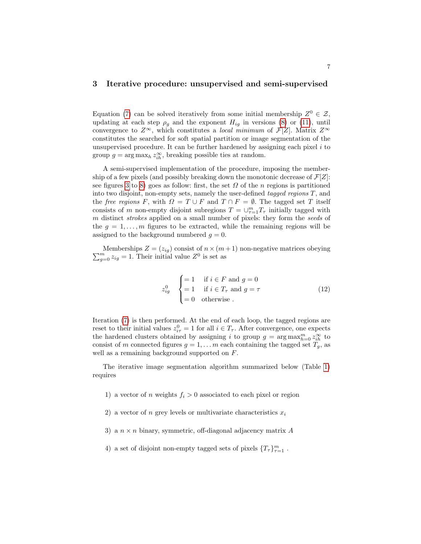## <span id="page-6-0"></span>3 Iterative procedure: unsupervised and semi-supervised

Equation [\(7\)](#page-5-2) can be solved iteratively from some initial membership  $Z^0 \in \mathcal{Z}$ , updating at each step  $\rho_g$  and the exponent  $H_{ig}$  in versions [\(8\)](#page-5-1) or [\(11\)](#page-5-3), until convergence to  $Z^{\infty}$ , which constitutes a *local minimum* of  $\mathcal{F}[Z]$ . Matrix  $Z^{\infty}$ constitutes the searched for soft spatial partition or image segmentation of the unsupervised procedure. It can be further hardened by assigning each pixel  $i$  to group  $g = \arg \max_h z_{ih}^{\infty}$ , breaking possible ties at random.

A semi-supervised implementation of the procedure, imposing the membership of a few pixels (and possibly breaking down the monotonic decrease of  $\mathcal{F}[Z]$ : see figures [3](#page-9-0) to [8\)](#page-11-0) goes as follow: first, the set  $\Omega$  of the n regions is partitioned into two disjoint, non-empty sets, namely the user-defined tagged regions  $T$ , and the free regions F, with  $\Omega = T \cup F$  and  $T \cap F = \emptyset$ . The tagged set T itself consists of m non-empty disjoint subregions  $T = \bigcup_{\tau=1}^m T_\tau$  initially tagged with m distinct *strokes* applied on a small number of pixels: they form the seeds of the  $g = 1, \ldots, m$  figures to be extracted, while the remaining regions will be assigned to the background numbered  $g = 0$ .

 $\sum$ Memberships  $Z = (z_{ig})$  consist of  $n \times (m+1)$  non-negative matrices obeying  $\frac{m}{g=0} z_{ig} = 1$ . Their initial value  $Z^0$  is set as

$$
z_{ig}^{0} \quad \begin{cases} = 1 & \text{if } i \in F \text{ and } g = 0\\ = 1 & \text{if } i \in T_{\tau} \text{ and } g = \tau\\ = 0 & \text{otherwise} \end{cases}
$$
 (12)

Iteration [\(7\)](#page-5-2) is then performed. At the end of each loop, the tagged regions are reset to their initial values  $z_{i\tau}^0 = 1$  for all  $i \in T_{\tau}$ . After convergence, one expects the hardened clusters obtained by assigning i to group  $g = \arg \max_{h=0}^m z_{ih}^{\infty}$  to consist of m connected figures  $g = 1, \ldots m$  each containing the tagged set  $T_g$ , as well as a remaining background supported on F.

The iterative image segmentation algorithm summarized below (Table [1\)](#page-7-1) requires

- 1) a vector of n weights  $f_i > 0$  associated to each pixel or region
- 2) a vector of n grey levels or multivariate characteristics  $x_i$
- 3) a  $n \times n$  binary, symmetric, off-diagonal adjacency matrix A
- 4) a set of disjoint non-empty tagged sets of pixels  $\{T_{\tau}\}_{\tau=1}^m$ .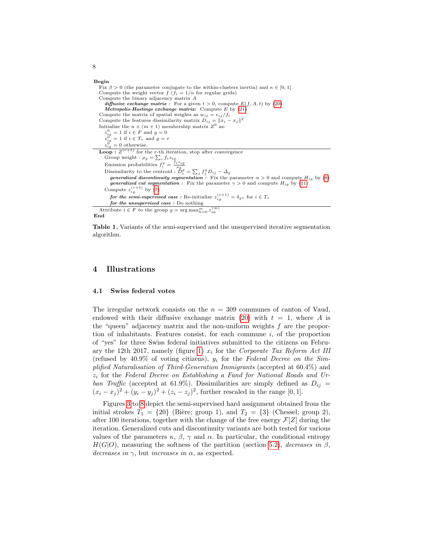#### Begin

Fix  $\beta > 0$  (the parameter conjugate to the within-clusters inertia) and  $\kappa \in [0, 1]$ Compute the weight vector  $f\left(\bar{f}_i = 1/n\right)$  for regular grids) Compute the binary adjacency matrix A<br>
diffusive exchange matrix : For a given  $t > 0$ , compute  $E(f, A, t)$  by [\(20\)](#page-22-2) Metropolis-Hastings exchange matrix: Compute  $E$  by  $(21)$ Compute the matrix of spatial weights as  $w_{ij} = e_{ij}/f_i$ Compute the features dissimilarity matrix  $D_{ij} = ||\mathbf{x}_i - \mathbf{x}_j||^2$ Initialize the  $n \times (m+1)$  membership matrix  $Z^0$  as:  $z_{i g}^{0} = 1$  if  $i \in F$  and  $g = 0$ <br>  $z_{i g}^{0} = 1$  if  $i \in T_{\tau}$  and  $g = \tau$ <br>  $z_{i g}^{0} = 0$  otherwise. **Loop**:  $Z^{(r+1)}$  for the *r*-th iteration, stop after convergence Group weight :  $\rho_g = \sum_i f_i z_{ig}$ Emission probabilities  $f_i^g = \frac{\bar{f}_i z_{ig}}{\rho_g}$ Dissimilarity to the centroid :  $\stackrel{9}{D}_{i}^{g} = \sum_{j} f_{j}^{g} D_{ij} - \Delta_{g}$ generalized discontinuity segmentation : Fix the parameter  $\alpha > 0$  and compute  $H_{ig}$  by  $(8)$ *generalized cut segmentation* : Fix the parameter  $\gamma > 0$  and compute  $H_{ig}$  by [\(11\)](#page-5-3) Compute  $z_{ig}^{(r+1)}$  by [\(7\)](#page-5-2) for the semi-supervised case : Re-initialize  $z_{ig}^{(r+1)} = \delta_{g\tau}$  for  $i \in T_{\tau}$ for the unsupervised case : Do nothing Attribute  $i \in F$  to the group  $g = \arg \max_{h=0}^m z_{ih}^{(\infty)}$ End

<span id="page-7-1"></span>Table 1. Variants of the semi-supervised and the unsupervised iterative segmentation algorithm.

## <span id="page-7-0"></span>4 Illustrations

#### 4.1 Swiss federal votes

The irregular network consists on the  $n = 309$  communes of canton of Vaud, endowed with their diffusive exchange matrix [\(20\)](#page-22-2) with  $t = 1$ , where A is the "queen" adjacency matrix and the non-uniform weights f are the proportion of inhabitants. Features consist, for each commune  $i$ , of the proportion of "yes" for three Swiss federal initiatives submitted to the citizens on Febru-ary the 12th 2017, namely (figure [1\)](#page-8-0)  $x_i$  for the Corporate Tax Reform Act III (refused by  $40.9\%$  of voting citizens),  $y_i$  for the Federal Decree on the Simplified Naturalisation of Third-Generation Immigrants (accepted at 60.4%) and  $z_i$  for the Federal Decree on Establishing a Fund for National Roads and Urban Traffic (accepted at 61.9%). Dissimilarities are simply defined as  $D_{ij} =$  $(x_i - x_j)^2 + (y_i - y_j)^2 + (z_i - z_j)^2$ , further rescaled in the range [0, 1].

Figures [3](#page-9-0) to [8](#page-11-0) depict the semi-supervised hard assignment obtained from the initial strokes  $T_1 = \{20\}$  (Bière; group 1), and  $T_2 = \{3\}$  (Chessel; group 2), after 100 iterations, together with the change of the free energy  $\mathcal{F}[Z]$  during the iteration. Generalized cuts and discontinuity variants are both tested for various values of the parameters  $\kappa$ ,  $\beta$ ,  $\gamma$  and  $\alpha$ . In particular, the conditional entropy  $H(G|O)$ , measuring the softness of the partition (section [5.2\)](#page-15-0), decreases in  $\beta$ , decreases in  $\gamma$ , but increases in  $\alpha$ , as expected.

8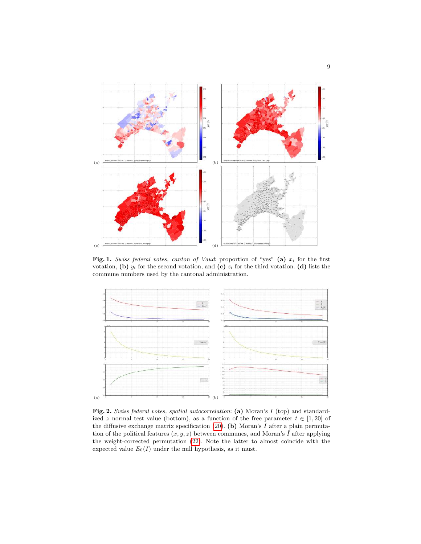

<span id="page-8-0"></span>Fig. 1. Swiss federal votes, canton of Vaud: proportion of "yes" (a)  $x_i$  for the first votation, (b)  $y_i$  for the second votation, and (c)  $z_i$  for the third votation. (d) lists the commune numbers used by the cantonal administration.



<span id="page-8-1"></span>Fig. 2. Swiss federal votes, spatial autocorrelation: (a) Moran's I (top) and standardized z normal test value (bottom), as a function of the free parameter  $t \in [1, 20]$  of the diffusive exchange matrix specification  $(20)$ . (b) Moran's I after a plain permutation of the political features  $(x, y, z)$  between communes, and Moran's  $\hat{I}$  after applying the weight-corrected permutation [\(22\)](#page-24-0). Note the latter to almost coincide with the expected value  $E_0(I)$  under the null hypothesis, as it must.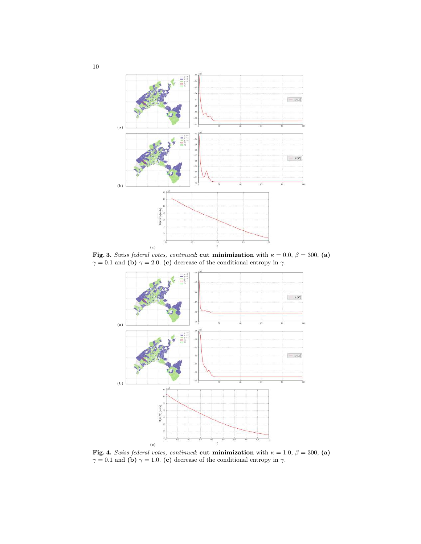

Fig. 3. Swiss federal votes, continued: cut minimization with  $\kappa = 0.0, \beta = 300, \text{(a)}$  $\gamma = 0.1$  and (b)  $\gamma = 2.0$ . (c) decrease of the conditional entropy in  $\gamma$ .

<span id="page-9-0"></span>

Fig. 4. Swiss federal votes, continued: cut minimization with  $\kappa = 1.0, \beta = 300, \text{(a)}$  $\gamma = 0.1$  and (b)  $\gamma = 1.0$ . (c) decrease of the conditional entropy in  $\gamma$ .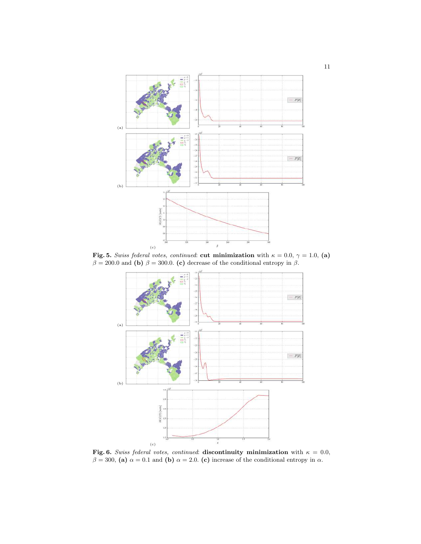

Fig. 5. Swiss federal votes, continued: cut minimization with  $\kappa = 0.0, \gamma = 1.0, (a)$  $\beta = 200.0$  and (b)  $\beta = 300.0$ . (c) decrease of the conditional entropy in  $\beta$ .



Fig. 6. Swiss federal votes, continued: discontinuity minimization with  $\kappa = 0.0$ ,  $\beta = 300$ , (a)  $\alpha = 0.1$  and (b)  $\alpha = 2.0$ . (c) increase of the conditional entropy in  $\alpha$ .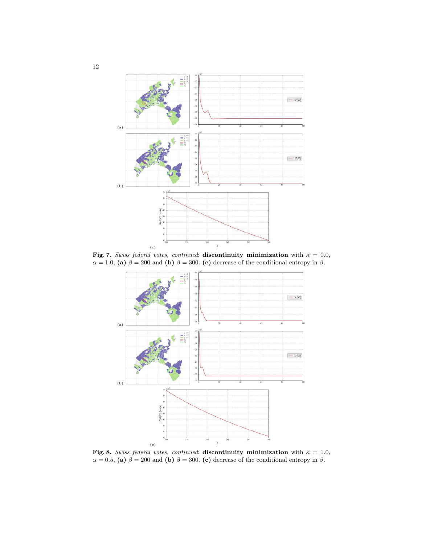

Fig. 7. Swiss federal votes, continued: discontinuity minimization with  $\kappa = 0.0$ ,  $\alpha = 1.0$ , (a)  $\beta = 200$  and (b)  $\beta = 300$ . (c) decrease of the conditional entropy in  $\beta$ .



<span id="page-11-0"></span>Fig. 8. Swiss federal votes, continued: discontinuity minimization with  $\kappa = 1.0$ ,  $\alpha = 0.5$ , (a)  $\beta = 200$  and (b)  $\beta = 300$ . (c) decrease of the conditional entropy in  $\beta$ .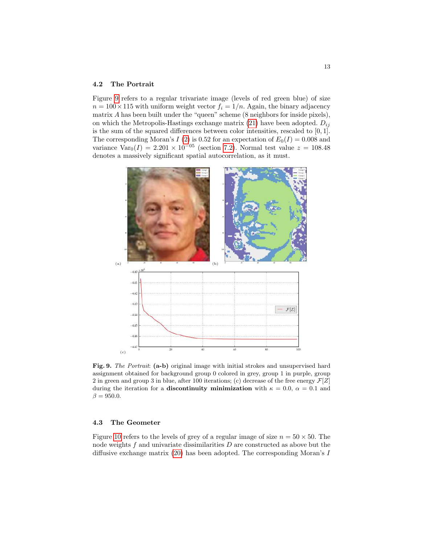#### 4.2 The Portrait

Figure [9](#page-12-0) refers to a regular trivariate image (levels of red green blue) of size  $n = 100 \times 115$  with uniform weight vector  $f_i = 1/n$ . Again, the binary adjacency matrix  $A$  has been built under the "queen" scheme  $(8 \text{ neighbors for inside pixels}),$ on which the Metropolis-Hastings exchange matrix [\(21\)](#page-23-1) have been adopted.  $D_{ij}$ is the sum of the squared differences between color intensities, rescaled to  $[0, 1]$ . The corresponding Moran's I [\(2\)](#page-3-1) is 0.52 for an expectation of  $E_0(I) = 0.008$  and variance  $Var_0(I) = 2.201 \times 10^{-05}$  (section [7.2\)](#page-23-0). Normal test value  $z = 108.48$ denotes a massively significant spatial autocorrelation, as it must.



<span id="page-12-0"></span>Fig. 9. The Portrait: (a-b) original image with initial strokes and unsupervised hard assignment obtained for background group 0 colored in grey, group 1 in purple, group 2 in green and group 3 in blue, after 100 iterations; (c) decrease of the free energy  $\mathcal{F}[Z]$ during the iteration for a **discontinuity minimization** with  $\kappa = 0.0, \ \alpha = 0.1$  and  $\beta = 950.0.$ 

## 4.3 The Geometer

Figure [10](#page-13-0) refers to the levels of grey of a regular image of size  $n = 50 \times 50$ . The node weights  $f$  and univariate dissimilarities  $D$  are constructed as above but the diffusive exchange matrix [\(20\)](#page-22-2) has been adopted. The corresponding Moran's I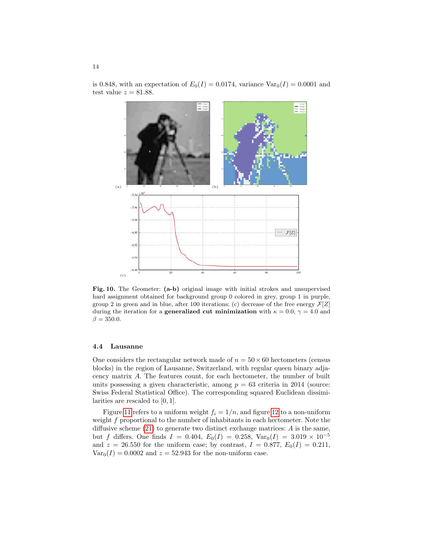is 0.848, with an expectation of  $E_0(I) = 0.0174$ , variance  $Var_0(I) = 0.0001$  and test value  $z = 81.88$ .



<span id="page-13-0"></span>Fig. 10. The Geometer: (a-b) original image with initial strokes and unsupervised hard assignment obtained for background group 0 colored in grey, group 1 in purple, group 2 in green and in blue, after 100 iterations; (c) decrease of the free energy  $\mathcal{F}[Z]$ during the iteration for a **generalized cut minimization** with  $\kappa = 0.0, \gamma = 4.0$  and  $\beta = 350.0.$ 

## 4.4 Lausanne

One considers the rectangular network made of  $n = 50 \times 60$  hectometers (census blocks) in the region of Lausanne, Switzerland, with regular queen binary adjacency matrix A. The features count, for each hectometer, the number of built units possessing a given characteristic, among  $p = 63$  criteria in 2014 (source: Swiss Federal Statistical Office). The corresponding squared Euclidean dissimilarities are rescaled to  $[0, 1]$ .

Figure [11](#page-14-1) refers to a uniform weight  $f_i = 1/n$ , and figure [12](#page-14-2) to a non-uniform weight f proportional to the number of inhabitants in each hectometer. Note the diffusive scheme  $(21)$  to generate two distinct exchange matrices: A is the same, but f differs. One finds  $I = 0.404$ ,  $E_0(I) = 0.258$ ,  $Var_0(I) = 3.019 \times 10^{-5}$ and  $z = 26.550$  for the uniform case; by contrast,  $I = 0.877$ ,  $E_0(I) = 0.211$ ,  $Var_0(I) = 0.0002$  and  $z = 52.943$  for the non-uniform case.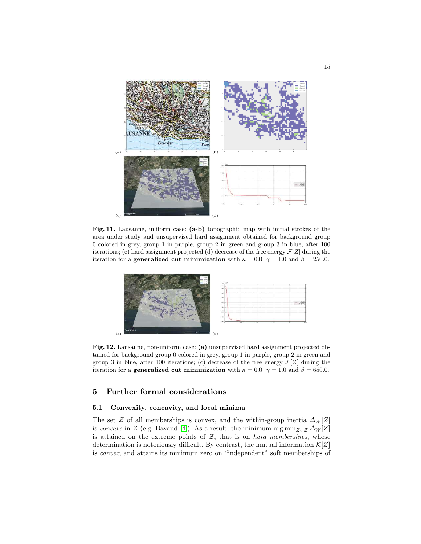

<span id="page-14-1"></span>Fig. 11. Lausanne, uniform case: (a-b) topographic map with initial strokes of the area under study and unsupervised hard assignment obtained for background group 0 colored in grey, group 1 in purple, group 2 in green and group 3 in blue, after 100 iterations; (c) hard assignment projected (d) decrease of the free energy  $\mathcal{F}[Z]$  during the iteration for a **generalized cut minimization** with  $\kappa = 0.0$ ,  $\gamma = 1.0$  and  $\beta = 250.0$ .



<span id="page-14-2"></span>Fig. 12. Lausanne, non-uniform case: (a) unsupervised hard assignment projected obtained for background group 0 colored in grey, group 1 in purple, group 2 in green and group 3 in blue, after 100 iterations; (c) decrease of the free energy  $\mathcal{F}[Z]$  during the iteration for a **generalized cut minimization** with  $\kappa = 0.0$ ,  $\gamma = 1.0$  and  $\beta = 650.0$ .

## 5 Further formal considerations

#### <span id="page-14-0"></span>5.1 Convexity, concavity, and local minima

The set Z of all memberships is convex, and the within-group inertia  $\Delta_W[Z]$ is concave in Z (e.g. Bavaud [\[4\]](#page-20-1)). As a result, the minimum  $\arg \min_{Z \in \mathcal{Z}} \Delta_W[Z]$ is attained on the extreme points of  $Z$ , that is on *hard memberships*, whose determination is notoriously difficult. By contrast, the mutual information  $\mathcal{K}[Z]$ is convex, and attains its minimum zero on "independent" soft memberships of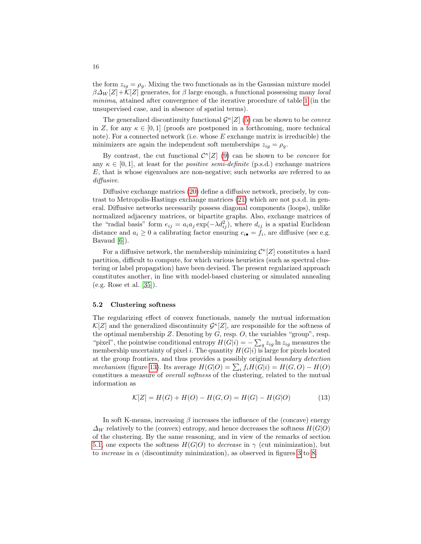the form  $z_{iq} = \rho_q$ . Mixing the two functionals as in the Gaussian mixture model  $\beta\Delta_W[Z]+\mathcal{K}[Z]$  generates, for  $\beta$  large enough, a functional possessing many *local* minima, attained after convergence of the iterative procedure of table [1](#page-7-1) (in the unsupervised case, and in absence of spatial terms).

The generalized discontinuity functional  $\mathcal{G}^{\kappa}[Z]$  [\(5\)](#page-4-1) can be shown to be *convex* in Z, for any  $\kappa \in [0,1]$  (proofs are postponed in a forthcoming, more technical note). For a connected network (i.e. whose  $E$  exchange matrix is irreducible) the minimizers are again the independent soft memberships  $z_{iq} = \rho_q$ .

By contrast, the cut functional  $\mathcal{C}^{\kappa}[Z]$  [\(9\)](#page-5-4) can be shown to be *concave* for any  $\kappa \in [0, 1]$ , at least for the *positive semi-definite* (p.s.d.) exchange matrices E, that is whose eigenvalues are non-negative; such networks are referred to as diffusive.

Diffusive exchange matrices [\(20\)](#page-22-2) define a diffusive network, precisely, by contrast to Metropolis-Hastings exchange matrices [\(21\)](#page-23-1) which are not p.s.d. in general. Diffusive networks necessarily possess diagonal components (loops), unlike normalized adjacency matrices, or bipartite graphs. Also, exchange matrices of the "radial basis" form  $e_{ij} = a_i a_j \exp(-\lambda d_{ij}^2)$ , where  $d_{ij}$  is a spatial Euclidean distance and  $a_i \geq 0$  a calibrating factor ensuring  $e_{i\bullet} = f_i$ , are diffusive (see e.g. Bavaud [\[6\]](#page-20-2)).

For a diffusive network, the membership minimizing  $\mathcal{C}^{\kappa}[Z]$  constitutes a hard partition, difficult to compute, for which various heuristics (such as spectral clustering or label propagation) have been devised. The present regularized approach constitutes another, in line with model-based clustering or simulated annealing (e.g. Rose et al. [\[35\]](#page-21-6)).

#### <span id="page-15-0"></span>5.2 Clustering softness

The regularizing effect of convex functionals, namely the mutual information  $\mathcal{K}[Z]$  and the generalized discontinuity  $\mathcal{G}^{\kappa}[Z]$ , are responsible for the softness of the optimal membership  $Z$ . Denoting by  $G$ , resp.  $O$ , the variables "group", resp. "pixel", the pointwise conditional entropy  $H(G|i) = -\sum_{g} z_{ig} \ln z_{ig}$  measures the membership uncertainty of pixel i. The quantity  $H(G|i)$  is large for pixels located at the group frontiers, and thus provides a possibly original boundary detection mechanism (figure [13\)](#page-16-1). Its average  $H(G|O) = \sum_i f_i H(G|i) = H(G,O) - H(O)$ constitues a measure of overall softness of the clustering, related to the mutual information as

$$
\mathcal{K}[Z] = H(G) + H(O) - H(G, O) = H(G) - H(G|O)
$$
\n(13)

In soft K-means, increasing  $\beta$  increases the influence of the (concave) energy  $\Delta_W$  relatively to the (convex) entropy, and hence decreases the softness  $H(G|O)$ of the clustering. By the same reasoning, and in view of the remarks of section [5.1,](#page-14-0) one expects the softness  $H(G|O)$  to *decrease* in  $\gamma$  (cut minimization), but to *increase* in  $\alpha$  (discontinuity minimization), as observed in figures [3](#page-9-0) to [8.](#page-11-0)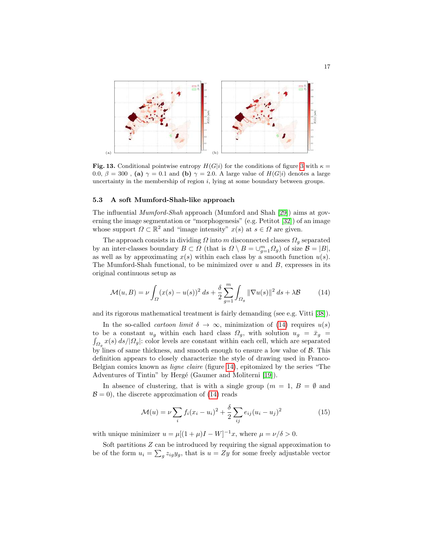

<span id="page-16-1"></span>Fig. 13. Conditional pointwise entropy  $H(G|i)$  for the conditions of figure [3](#page-9-0) with  $\kappa =$ 0.0,  $\beta = 300$ , (a)  $\gamma = 0.1$  and (b)  $\gamma = 2.0$ . A large value of  $H(G|i)$  denotes a large uncertainty in the membership of region  $i$ , lying at some boundary between groups.

#### <span id="page-16-0"></span>5.3 A soft Mumford-Shah-like approach

The influential Mumford-Shah approach (Mumford and Shah [\[29\]](#page-21-7)) aims at governing the image segmentation or "morphogenesis" (e.g. Petitot [\[32\]](#page-21-8)) of an image whose support  $\Omega \subset \mathbb{R}^2$  and "image intensity"  $x(s)$  at  $s \in \Omega$  are given.

The approach consists in dividing  $\Omega$  into m disconnected classes  $\Omega_q$  separated by an inter-classes boundary  $B \subset \Omega$  (that is  $\Omega \setminus B = \bigcup_{g=1}^{m} \Omega_g$ ) of size  $\mathcal{B} = |B|$ , as well as by approximating  $x(s)$  within each class by a smooth function  $u(s)$ . The Mumford-Shah functional, to be minimized over  $u$  and  $B$ , expresses in its original continuous setup as

<span id="page-16-2"></span>
$$
\mathcal{M}(u,B) = \nu \int_{\Omega} (x(s) - u(s))^2 \, ds + \frac{\delta}{2} \sum_{g=1}^m \int_{\Omega_g} ||\nabla u(s)||^2 \, ds + \lambda \mathcal{B}
$$
 (14)

and its rigorous mathematical treatment is fairly demanding (see e.g. Vitti [\[38\]](#page-22-3)).

In the so-called *cartoon limit*  $\delta \to \infty$ , minimization of [\(14\)](#page-16-2) requires  $u(s)$ to be a constant  $u_g$  within each hard class  $\Omega_g$ , with solution  $u_g = \bar{x}_g$  $\int_{\Omega_g} x(s) \, ds / |\Omega_g|$ : color levels are constant within each cell, which are separated by lines of same thickness, and smooth enough to ensure a low value of  $\beta$ . This definition appears to closely characterize the style of drawing used in Franco-Belgian comics known as ligne claire (figure [14\)](#page-17-1), epitomized by the series "The Adventures of Tintin" by Hergé (Gaumer and Moliterni [\[19\]](#page-21-9)).

In absence of clustering, that is with a single group  $(m = 1, B = \emptyset)$  and  $\mathcal{B} = 0$ , the discrete approximation of [\(14\)](#page-16-2) reads

$$
\mathcal{M}(u) = \nu \sum_{i} f_i (x_i - u_i)^2 + \frac{\delta}{2} \sum_{ij} e_{ij} (u_i - u_j)^2
$$
 (15)

with unique minimizer  $u = \mu[(1 + \mu)I - W]^{-1}x$ , where  $\mu = \nu/\delta > 0$ .

Soft partitions Z can be introduced by requiring the signal approximation to be of the form  $u_i = \sum_g z_{ig} y_g$ , that is  $u = Zy$  for some freely adjustable vector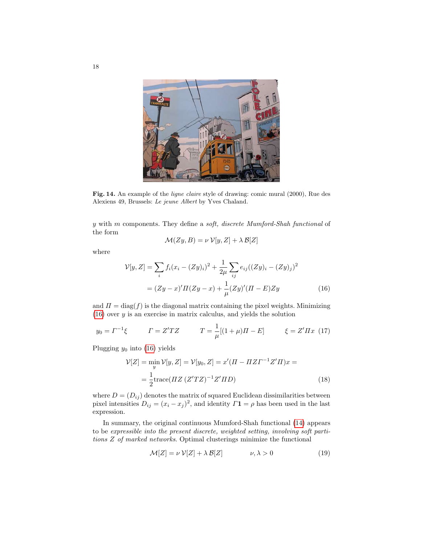

Fig. 14. An example of the ligne claire style of drawing: comic mural (2000), Rue des Alexiens 49, Brussels: Le jeune Albert by Yves Chaland.

<span id="page-17-1"></span>y with m components. They define a soft, discrete Mumford-Shah functional of the form

<span id="page-17-2"></span>
$$
\mathcal{M}(Zy, B) = \nu \mathcal{V}[y, Z] + \lambda \mathcal{B}[Z]
$$

where

$$
\mathcal{V}[y, Z] = \sum_{i} f_i (x_i - (Zy)_i)^2 + \frac{1}{2\mu} \sum_{ij} e_{ij} ((Zy)_i - (Zy)_j)^2
$$

$$
= (Zy - x)' \Pi (Zy - x) + \frac{1}{\mu} (Zy)' (II - E) Zy \tag{16}
$$

and  $\Pi = \text{diag}(f)$  is the diagonal matrix containing the pixel weights. Minimizing  $(16)$  over y is an exercise in matrix calculus, and yields the solution

<span id="page-17-4"></span>
$$
y_0 = \Gamma^{-1}\xi
$$
  $\Gamma = Z'TZ$   $T = \frac{1}{\mu}[(1+\mu)\Pi - E]$   $\xi = Z'\Pi x$  (17)

Plugging  $y_0$  into [\(16\)](#page-17-2) yields

$$
\mathcal{V}[Z] = \min_{y} \mathcal{V}[y, Z] = \mathcal{V}[y_0, Z] = x'(H - HZT^{-1}Z'H)x =
$$

$$
= \frac{1}{2} \text{trace}(HZ (Z'TZ)^{-1}Z'HD)
$$
(18)

where  $D = (D_{ij})$  denotes the matrix of squared Euclidean dissimilarities between pixel intensities  $D_{ij} = (x_i - x_j)^2$ , and identity  $\Gamma \mathbf{1} = \rho$  has been used in the last expression.

In summary, the original continuous Mumford-Shah functional [\(14\)](#page-16-2) appears to be expressible into the present discrete, weighted setting, involving soft partitions Z of marked networks. Optimal clusterings minimize the functional

<span id="page-17-3"></span><span id="page-17-0"></span>
$$
\mathcal{M}[Z] = \nu \mathcal{V}[Z] + \lambda \mathcal{B}[Z] \qquad \nu, \lambda > 0 \tag{19}
$$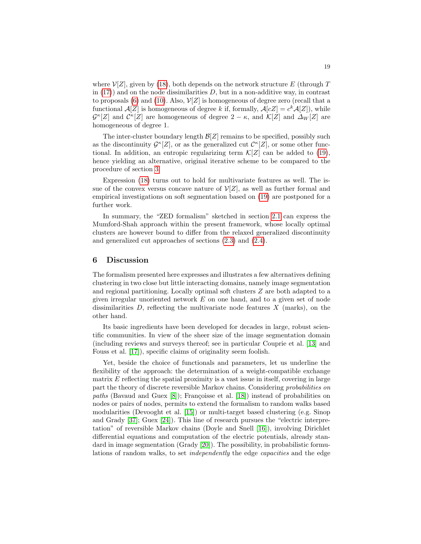where  $\mathcal{V}[Z]$ , given by [\(18\)](#page-17-3), both depends on the network structure E (through T in  $(17)$  and on the node dissimilarities D, but in a non-additive way, in contrast to proposals [\(6\)](#page-4-2) and [\(10\)](#page-5-5). Also,  $\mathcal{V}[Z]$  is homogeneous of degree zero (recall that a functional  $\mathcal{A}[Z]$  is homogeneous of degree k if, formally,  $\mathcal{A}[cZ] = c^k \mathcal{A}[Z]$ , while  $\mathcal{G}^{\kappa}[Z]$  and  $\mathcal{C}^{\kappa}[Z]$  are homogeneous of degree  $2 - \kappa$ , and  $\mathcal{K}[Z]$  and  $\Delta_W[Z]$  are homogeneous of degree 1.

The inter-cluster boundary length  $\mathcal{B}[Z]$  remains to be specified, possibly such as the discontinuity  $\mathcal{G}^{\kappa}[Z]$ , or as the generalized cut  $\mathcal{C}^{\kappa}[Z]$ , or some other functional. In addition, an entropic regularizing term  $\mathcal{K}[Z]$  can be added to [\(19\)](#page-17-0), hence yielding an alternative, original iterative scheme to be compared to the procedure of section [3.](#page-6-0)

Expression [\(18\)](#page-17-3) turns out to hold for multivariate features as well. The issue of the convex versus concave nature of  $\mathcal{V}[Z]$ , as well as further formal and empirical investigations on soft segmentation based on [\(19\)](#page-17-0) are postponed for a further work.

In summary, the "ZED formalism" sketched in section [2.1](#page-2-0) can express the Mumford-Shah approach within the present framework, whose locally optimal clusters are however bound to differ from the relaxed generalized discontinuity and generalized cut approaches of sections [\(2.3\)](#page-4-0) and [\(2.4\)](#page-5-0).

## <span id="page-18-0"></span>6 Discussion

The formalism presented here expresses and illustrates a few alternatives defining clustering in two close but little interacting domains, namely image segmentation and regional partitioning. Locally optimal soft clusters Z are both adapted to a given irregular unoriented network E on one hand, and to a given set of node dissimilarities  $D$ , reflecting the multivariate node features  $X$  (marks), on the other hand.

Its basic ingredients have been developed for decades in large, robust scientific communities. In view of the sheer size of the image segmentation domain (including reviews and surveys thereof; see in particular Couprie et al. [\[13\]](#page-20-3) and Fouss et al. [\[17\]](#page-20-4)), specific claims of originality seem foolish.

Yet, beside the choice of functionals and parameters, let us underline the flexibility of the approach: the determination of a weight-compatible exchange matrix  $E$  reflecting the spatial proximity is a vast issue in itself, covering in large part the theory of discrete reversible Markov chains. Considering probabilities on paths (Bavaud and Guex  $[8]$ ); Françoisse et al.  $[18]$ ) instead of probabilities on nodes or pairs of nodes, permits to extend the formalism to random walks based modularities (Devooght et al. [\[15\]](#page-20-7)) or multi-target based clustering (e.g. Sinop and Grady [\[37\]](#page-22-4); Guex [\[24\]](#page-21-10)). This line of research pursues the "electric interpretation" of reversible Markov chains (Doyle and Snell [\[16\]](#page-20-8)), involving Dirichlet differential equations and computation of the electric potentials, already stan-dard in image segmentation (Grady [\[20\]](#page-21-11)). The possibility, in probabilistic formulations of random walks, to set independently the edge capacities and the edge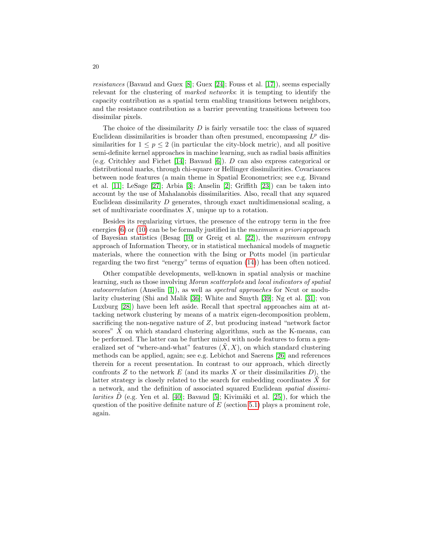resistances (Bavaud and Guex [\[8\]](#page-20-5); Guex [\[24\]](#page-21-10); Fouss et al. [\[17\]](#page-20-4)), seems especially relevant for the clustering of marked networks: it is tempting to identify the capacity contribution as a spatial term enabling transitions between neighbors, and the resistance contribution as a barrier preventing transitions between too dissimilar pixels.

The choice of the dissimilarity  $D$  is fairly versatile too: the class of squared Euclidean dissimilarities is broader than often presumed, encompassing  $L^p$  dissimilarities for  $1 \leq p \leq 2$  (in particular the city-block metric), and all positive semi-definite kernel approaches in machine learning, such as radial basis affinities (e.g. Critchley and Fichet [\[14\]](#page-20-9); Bavaud [\[6\]](#page-20-2)). D can also express categorical or distributional marks, through chi-square or Hellinger dissimilarities. Covariances between node features (a main theme in Spatial Econometrics; see e.g. Bivand et al. [\[11\]](#page-20-10); LeSage [\[27\]](#page-21-12); Arbia [\[3\]](#page-20-11); Anselin [\[2\]](#page-20-12); Griffith [\[23\]](#page-21-13)) can be taken into account by the use of Mahalanobis dissimilarities. Also, recall that any squared Euclidean dissimilarity D generates, through exact multidimensional scaling, a set of multivariate coordinates  $X$ , unique up to a rotation.

Besides its regularizing virtues, the presence of the entropy term in the free energies  $(6)$  or  $(10)$  can be be formally justified in the *maximum a priori* approach of Bayesian statistics (Besag [\[10\]](#page-20-13) or Greig et al. [\[22\]](#page-21-14)), the maximum entropy approach of Information Theory, or in statistical mechanical models of magnetic materials, where the connection with the Ising or Potts model (in particular regarding the two first "energy" terms of equation [\(14\)](#page-16-2)) has been often noticed.

Other compatible developments, well-known in spatial analysis or machine learning, such as those involving Moran scatterplots and local indicators of spatial autocorrelation (Anselin [\[1\]](#page-20-14)), as well as spectral approaches for Ncut or modularity clustering (Shi and Malik [\[36\]](#page-21-0); White and Smyth [\[39\]](#page-22-5); Ng et al. [\[31\]](#page-21-15); von Luxburg [\[28\]](#page-21-5)) have been left aside. Recall that spectral approaches aim at attacking network clustering by means of a matrix eigen-decomposition problem, sacrificing the non-negative nature of Z, but producing instead "network factor scores"  $X$  on which standard clustering algorithms, such as the K-means, can be performed. The latter can be further mixed with node features to form a generalized set of "where-and-what" features  $(X, X)$ , on which standard clustering methods can be applied, again; see e.g. Lebichot and Saerens [\[26\]](#page-21-16) and references therein for a recent presentation. In contrast to our approach, which directly confronts  $Z$  to the network  $E$  (and its marks  $X$  or their dissimilarities  $D$ ), the latter strategy is closely related to the search for embedding coordinates  $X$  for a network, and the definition of associated squared Euclidean spatial dissimi*larities*  $D$  (e.g. Yen et al. [\[40\]](#page-22-6); Bavaud [\[5\]](#page-20-15); Kivimäki et al. [\[25\]](#page-21-17)), for which the question of the positive definite nature of  $E$  (section [5.1\)](#page-14-0) plays a prominent role, again.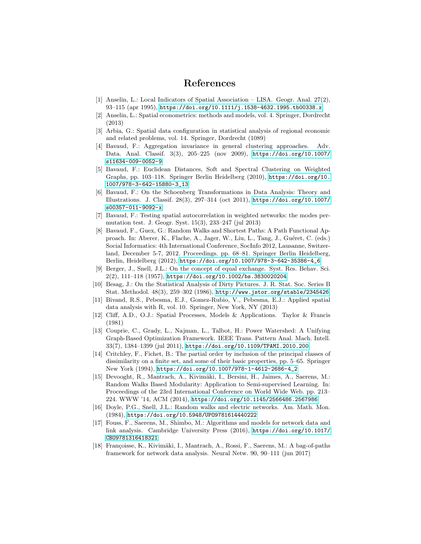## References

- <span id="page-20-14"></span>[1] Anselin, L.: Local Indicators of Spatial Association – LISA. Geogr. Anal. 27(2), 93–115 (apr 1995), <https://doi.org/10.1111/j.1538-4632.1995.tb00338.x>
- <span id="page-20-12"></span>[2] Anselin, L.: Spatial econometrics: methods and models, vol. 4. Springer, Dordrecht (2013)
- <span id="page-20-11"></span>[3] Arbia, G.: Spatial data configuration in statistical analysis of regional economic and related problems, vol. 14. Springer, Dordrecht (1089)
- <span id="page-20-1"></span>[4] Bavaud, F.: Aggregation invariance in general clustering approaches. Adv. Data. Anal. Classif. 3(3), 205–225 (nov 2009), [https://doi.org/10.1007/](https://doi.org/10.1007/s11634-009-0052-9) [s11634-009-0052-9](https://doi.org/10.1007/s11634-009-0052-9)
- <span id="page-20-15"></span>[5] Bavaud, F.: Euclidean Distances, Soft and Spectral Clustering on Weighted Graphs, pp. 103–118. Springer Berlin Heidelberg (2010), [https://doi.org/10.](https://doi.org/10.1007/978-3-642-15880-3_13) [1007/978-3-642-15880-3\\_13](https://doi.org/10.1007/978-3-642-15880-3_13)
- <span id="page-20-2"></span>[6] Bavaud, F.: On the Schoenberg Transformations in Data Analysis: Theory and Illustrations. J. Classif. 28(3), 297–314 (oct 2011), [https://doi.org/10.1007/](https://doi.org/10.1007/s00357-011-9092-x) [s00357-011-9092-x](https://doi.org/10.1007/s00357-011-9092-x)
- <span id="page-20-16"></span>[7] Bavaud, F.: Testing spatial autocorrelation in weighted networks: the modes permutation test. J. Geogr. Syst. 15(3), 233–247 (jul 2013)
- <span id="page-20-5"></span>[8] Bavaud, F., Guex, G.: Random Walks and Shortest Paths: A Path Functional Approach. In: Aberer, K., Flache, A., Jager, W., Liu, L., Tang, J., Guéret, C. (eds.) Social Informatics: 4th International Conference, SocInfo 2012, Lausanne, Switzerland, December 5-7, 2012. Proceedings. pp. 68–81. Springer Berlin Heidelberg, Berlin, Heidelberg (2012), [https://doi.org/10.1007/978-3-642-35386-4\\_6](https://doi.org/10.1007/978-3-642-35386-4_6)
- <span id="page-20-0"></span>[9] Berger, J., Snell, J.L.: On the concept of equal exchange. Syst. Res. Behav. Sci. 2(2), 111–118 (1957), <https://doi.org/10.1002/bs.3830020204>
- <span id="page-20-13"></span>[10] Besag, J.: On the Statistical Analysis of Dirty Pictures. J. R. Stat. Soc. Series B Stat. Methodol. 48(3), 259–302 (1986), <http://www.jstor.org/stable/2345426>
- <span id="page-20-10"></span>[11] Bivand, R.S., Pebesma, E.J., Gomez-Rubio, V., Pebesma, E.J.: Applied spatial data analysis with R, vol. 10. Springer, New York, NY (2013)
- <span id="page-20-17"></span>[12] Cliff, A.D., O.J.: Spatial Processes, Models & Applications. Taylor & Francis (1981)
- <span id="page-20-3"></span>[13] Couprie, C., Grady, L., Najman, L., Talbot, H.: Power Watershed: A Unifying Graph-Based Optimization Framework. IEEE Trans. Pattern Anal. Mach. Intell. 33(7), 1384–1399 (jul 2011), <https://doi.org/10.1109/TPAMI.2010.200>
- <span id="page-20-9"></span>[14] Critchley, F., Fichet, B.: The partial order by inclusion of the principal classes of dissimilarity on a finite set, and some of their basic properties, pp. 5–65. Springer New York (1994), [https://doi.org/10.1007/978-1-4612-2686-4\\_2](https://doi.org/10.1007/978-1-4612-2686-4_2)
- <span id="page-20-7"></span>[15] Devooght, R., Mantrach, A., Kivimäki, I., Bersini, H., Jaimes, A., Saerens, M.: Random Walks Based Modularity: Application to Semi-supervised Learning. In: Proceedings of the 23rd International Conference on World Wide Web. pp. 213– 224. WWW '14, ACM (2014), <https://doi.org/10.1145/2566486.2567986>
- <span id="page-20-8"></span>[16] Doyle, P.G., Snell, J.L.: Random walks and electric networks. Am. Math. Mon. (1984), <https://doi.org/10.5948/UPO9781614440222>
- <span id="page-20-4"></span>[17] Fouss, F., Saerens, M., Shimbo, M.: Algorithms and models for network data and link analysis. Cambridge University Press (2016), [https://doi.org/10.1017/](https://doi.org/10.1017/CBO9781316418321) [CBO9781316418321](https://doi.org/10.1017/CBO9781316418321)
- <span id="page-20-6"></span>[18] Françoisse, K., Kivimäki, I., Mantrach, A., Rossi, F., Saerens, M.: A bag-of-paths framework for network data analysis. Neural Netw. 90, 90–111 (jun 2017)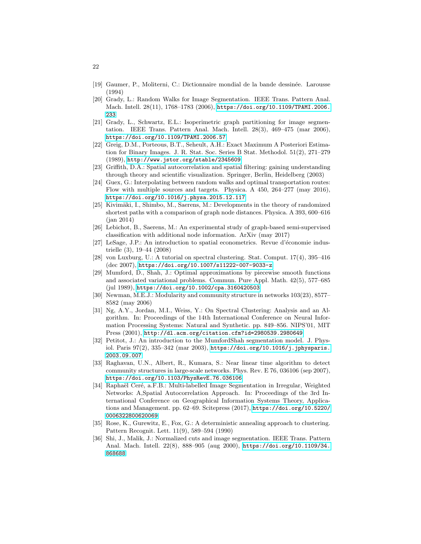- <span id="page-21-9"></span>[19] Gaumer, P., Moliterni, C.: Dictionnaire mondial de la bande dessin´ee. Larousse (1994)
- <span id="page-21-11"></span>[20] Grady, L.: Random Walks for Image Segmentation. IEEE Trans. Pattern Anal. Mach. Intell. 28(11), 1768–1783 (2006), [https://doi.org/10.1109/TPAMI.2006.](https://doi.org/10.1109/TPAMI.2006.233) [233](https://doi.org/10.1109/TPAMI.2006.233)
- <span id="page-21-1"></span>[21] Grady, L., Schwartz, E.L.: Isoperimetric graph partitioning for image segmentation. IEEE Trans. Pattern Anal. Mach. Intell. 28(3), 469–475 (mar 2006), <https://doi.org/10.1109/TPAMI.2006.57>
- <span id="page-21-14"></span>[22] Greig, D.M., Porteous, B.T., Seheult, A.H.: Exact Maximum A Posteriori Estimation for Binary Images. J. R. Stat. Soc. Series B Stat. Methodol. 51(2), 271–279 (1989), <http://www.jstor.org/stable/2345609>
- <span id="page-21-13"></span>[23] Griffith, D.A.: Spatial autocorrelation and spatial filtering: gaining understanding through theory and scientific visualization. Springer, Berlin, Heidelberg (2003)
- <span id="page-21-10"></span>[24] Guex, G.: Interpolating between random walks and optimal transportation routes: Flow with multiple sources and targets. Physica. A 450, 264–277 (may 2016), <https://doi.org/10.1016/j.physa.2015.12.117>
- <span id="page-21-17"></span>[25] Kivimäki, I., Shimbo, M., Saerens, M.: Developments in the theory of randomized shortest paths with a comparison of graph node distances. Physica. A 393, 600–616 (jan 2014)
- <span id="page-21-16"></span>[26] Lebichot, B., Saerens, M.: An experimental study of graph-based semi-supervised classification with additional node information. ArXiv (may 2017)
- <span id="page-21-12"></span>[27] LeSage, J.P.: An introduction to spatial econometrics. Revue d'économie industrielle (3), 19–44 (2008)
- <span id="page-21-5"></span>[28] von Luxburg, U.: A tutorial on spectral clustering. Stat. Comput. 17(4), 395–416 (dec 2007), <https://doi.org/10.1007/s11222-007-9033-z>
- <span id="page-21-7"></span>[29] Mumford, D., Shah, J.: Optimal approximations by piecewise smooth functions and associated variational problems. Commun. Pure Appl. Math. 42(5), 577–685 (jul 1989), <https://doi.org/10.1002/cpa.3160420503>
- <span id="page-21-2"></span>[30] Newman, M.E.J.: Modularity and community structure in networks 103(23), 8577– 8582 (may 2006)
- <span id="page-21-15"></span>[31] Ng, A.Y., Jordan, M.I., Weiss, Y.: On Spectral Clustering: Analysis and an Algorithm. In: Proceedings of the 14th International Conference on Neural Information Processing Systems: Natural and Synthetic. pp. 849–856. NIPS'01, MIT Press (2001), <http://dl.acm.org/citation.cfm?id=2980539.2980649>
- <span id="page-21-8"></span>[32] Petitot, J.: An introduction to the MumfordShah segmentation model. J. Physiol. Paris 97(2), 335–342 (mar 2003), [https://doi.org/10.1016/j.jphysparis.](https://doi.org/10.1016/j.jphysparis.2003.09.007) [2003.09.007](https://doi.org/10.1016/j.jphysparis.2003.09.007)
- <span id="page-21-4"></span>[33] Raghavan, U.N., Albert, R., Kumara, S.: Near linear time algorithm to detect community structures in large-scale networks. Phys. Rev. E 76, 036106 (sep 2007), <https://doi.org/10.1103/PhysRevE.76.036106>
- <span id="page-21-3"></span>[34] Raphaël Ceré, a.F.B.: Multi-labelled Image Segmentation in Irregular, Weighted Networks: A,Spatial Autocorrelation Approach. In: Proceedings of the 3rd International Conference on Geographical Information Systems Theory, Applications and Management. pp. 62–69. Scitepress (2017), [https://doi.org/10.5220/](https://doi.org/10.5220/0006322800620069) [0006322800620069](https://doi.org/10.5220/0006322800620069)
- <span id="page-21-6"></span>[35] Rose, K., Gurewitz, E., Fox, G.: A deterministic annealing approach to clustering. Pattern Recognit. Lett. 11(9), 589–594 (1990)
- <span id="page-21-0"></span>[36] Shi, J., Malik, J.: Normalized cuts and image segmentation. IEEE Trans. Pattern Anal. Mach. Intell. 22(8), 888–905 (aug 2000), [https://doi.org/10.1109/34.](https://doi.org/10.1109/34.868688) [868688](https://doi.org/10.1109/34.868688)

22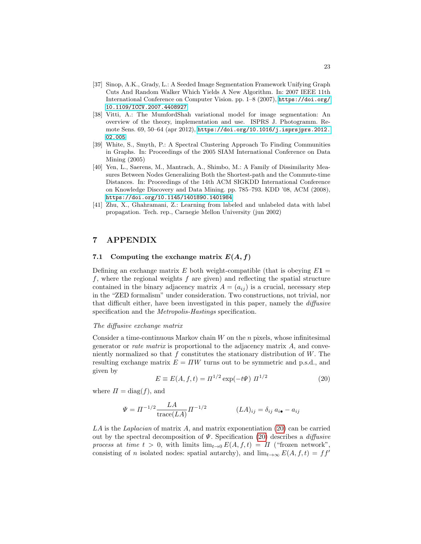- <span id="page-22-4"></span>[37] Sinop, A.K., Grady, L.: A Seeded Image Segmentation Framework Unifying Graph Cuts And Random Walker Which Yields A New Algorithm. In: 2007 IEEE 11th International Conference on Computer Vision. pp. 1–8 (2007), [https://doi.org/](https://doi.org/10.1109/ICCV.2007.4408927) [10.1109/ICCV.2007.4408927](https://doi.org/10.1109/ICCV.2007.4408927)
- <span id="page-22-3"></span>[38] Vitti, A.: The MumfordShah variational model for image segmentation: An overview of the theory, implementation and use. ISPRS J. Photogramm. Remote Sens. 69, 50–64 (apr 2012), [https://doi.org/10.1016/j.isprsjprs.2012.](https://doi.org/10.1016/j.isprsjprs.2012.02.005) [02.005](https://doi.org/10.1016/j.isprsjprs.2012.02.005)
- <span id="page-22-5"></span>[39] White, S., Smyth, P.: A Spectral Clustering Approach To Finding Communities in Graphs. In: Proceedings of the 2005 SIAM International Conference on Data Mining (2005)
- <span id="page-22-6"></span>[40] Yen, L., Saerens, M., Mantrach, A., Shimbo, M.: A Family of Dissimilarity Measures Between Nodes Generalizing Both the Shortest-path and the Commute-time Distances. In: Proceedings of the 14th ACM SIGKDD International Conference on Knowledge Discovery and Data Mining. pp. 785–793. KDD '08, ACM (2008), <https://doi.org/10.1145/1401890.1401984>
- <span id="page-22-1"></span>[41] Zhu, X., Ghahramani, Z.: Learning from labeled and unlabeled data with label propagation. Tech. rep., Carnegie Mellon University (jun 2002)

## 7 APPENDIX

## <span id="page-22-0"></span>7.1 Computing the exchange matrix  $E(A, f)$

Defining an exchange matrix  $E$  both weight-compatible (that is obeying  $E1 =$ f, where the regional weights f are given) and reflecting the spatial structure contained in the binary adjacency matrix  $A = (a_{ij})$  is a crucial, necessary step in the "ZED formalism" under consideration. Two constructions, not trivial, nor that difficult either, have been investigated in this paper, namely the diffusive specification and the *Metropolis-Hastings* specification.

#### The diffusive exchange matrix

Consider a time-continuous Markov chain  $W$  on the  $n$  pixels, whose infinitesimal generator or *rate matrix* is proportional to the adjacency matrix  $A$ , and conveniently normalized so that  $f$  constitutes the stationary distribution of  $W$ . The resulting exchange matrix  $E = \Pi W$  turns out to be symmetric and p.s.d., and given by

<span id="page-22-2"></span>
$$
E \equiv E(A, f, t) = \Pi^{1/2} \exp(-t\Psi) \ \Pi^{1/2} \tag{20}
$$

where  $\Pi = \text{diag}(f)$ , and

$$
\Psi = \Pi^{-1/2} \frac{LA}{\text{trace}(LA)} \Pi^{-1/2} \qquad (LA)_{ij} = \delta_{ij} a_{i\bullet} - a_{ij}
$$

LA is the Laplacian of matrix A, and matrix exponentiation  $(20)$  can be carried out by the spectral decomposition of  $\Psi$ . Specification [\(20\)](#page-22-2) describes a *diffusive* process at time  $t > 0$ , with limits  $\lim_{t\to 0} E(A, f, t) = \Pi$  ("frozen network", consisting of n isolated nodes: spatial autarchy), and  $\lim_{t\to\infty} E(A, f, t) = ff'$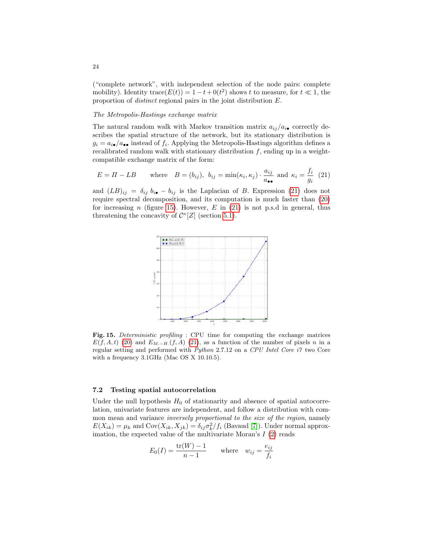("complete network", with independent selection of the node pairs: complete mobility). Identity trace $(E(t)) = 1 - t + 0(t^2)$  shows t to measure, for  $t \ll 1$ , the proportion of distinct regional pairs in the joint distribution E.

#### The Metropolis-Hastings exchange matrix

The natural random walk with Markov transition matrix  $a_{ij}/a_{i\bullet}$  correctly describes the spatial structure of the network, but its stationary distribution is  $g_i = a_{i\bullet}/a_{\bullet\bullet}$  instead of  $f_i$ . Applying the Metropolis-Hastings algorithm defines a recalibrated random walk with stationary distribution  $f$ , ending up in a weightcompatible exchange matrix of the form:

<span id="page-23-1"></span>
$$
E = \Pi - LB \qquad \text{where} \quad B = (b_{ij}), \ b_{ij} = \min(\kappa_i, \kappa_j) \cdot \frac{a_{ij}}{a_{\bullet \bullet}} \text{ and } \kappa_i = \frac{f_i}{g_i} \tag{21}
$$

and  $(LB)_{ij} = \delta_{ij} b_{i\bullet} - b_{ij}$  is the Laplacian of B. Expression [\(21\)](#page-23-1) does not require spectral decomposition, and its computation is much faster than [\(20\)](#page-22-2) for increasing n (figure [15\)](#page-23-2). However,  $E$  in [\(21\)](#page-23-1) is not p.s.d in general, thus threatening the concavity of  $\mathcal{C}^{\kappa}[Z]$  (section [5.1\)](#page-14-0).



<span id="page-23-2"></span>Fig. 15. Deterministic profiling : CPU time for computing the exchange matrices  $E(f, A, t)$  [\(20\)](#page-22-2) and  $E_{M,-H}(f, A)$  [\(21\)](#page-23-1), as a function of the number of pixels n in a regular setting and performed with Python 2.7.12 on a CPU Intel Core i7 two Core with a frequency 3.1GHz (Mac OS X 10.10.5).

#### <span id="page-23-0"></span>7.2 Testing spatial autocorrelation

Under the null hypothesis  $H_0$  of stationarity and absence of spatial autocorrelation, univariate features are independent, and follow a distribution with common mean and variance inversely proportional to the size of the region, namely  $E(X_{ik}) = \mu_k$  and  $Cov(X_{ik}, X_{jk}) = \delta_{ij} \sigma_k^2 / f_i$  (Bavaud [\[7\]](#page-20-16)). Under normal approximation, the expected value of the multivariate Moran's  $I(2)$  $I(2)$  reads

$$
E_0(I) = \frac{\text{tr}(W) - 1}{n - 1} \quad \text{where} \quad w_{ij} = \frac{e_{ij}}{f_i}
$$